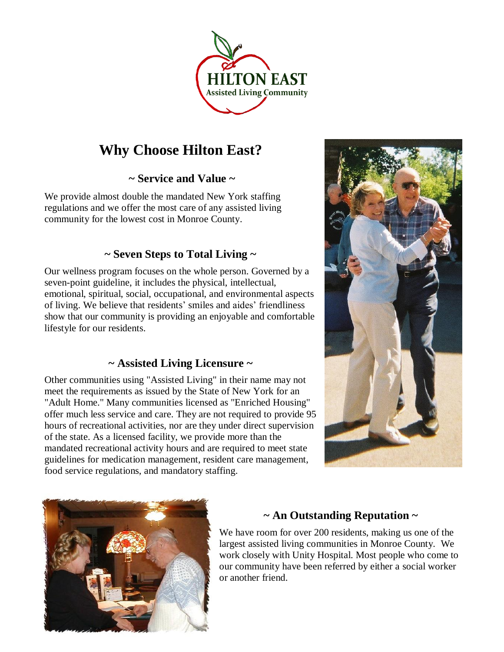

## **Why Choose Hilton East?**

**~ Service and Value ~**

We provide almost double the mandated New York staffing regulations and we offer the most care of any assisted living community for the lowest cost in Monroe County.

#### **~ Seven Steps to Total Living ~**

Our wellness program focuses on the whole person. Governed by a seven-point guideline, it includes the physical, intellectual, emotional, spiritual, social, occupational, and environmental aspects of living. We believe that residents' smiles and aides' friendliness show that our community is providing an enjoyable and comfortable lifestyle for our residents.

#### **~ Assisted Living Licensure ~**

Other communities using "Assisted Living" in their name may not meet the requirements as issued by the State of New York for an "Adult Home." Many communities licensed as "Enriched Housing" offer much less service and care. They are not required to provide 95 hours of recreational activities, nor are they under direct supervision of the state. As a licensed facility, we provide more than the mandated recreational activity hours and are required to meet state guidelines for medication management, resident care management, food service regulations, and mandatory staffing.





### **~ An Outstanding Reputation ~**

We have room for over 200 residents, making us one of the largest assisted living communities in Monroe County. We work closely with Unity Hospital. Most people who come to our community have been referred by either a social worker or another friend.